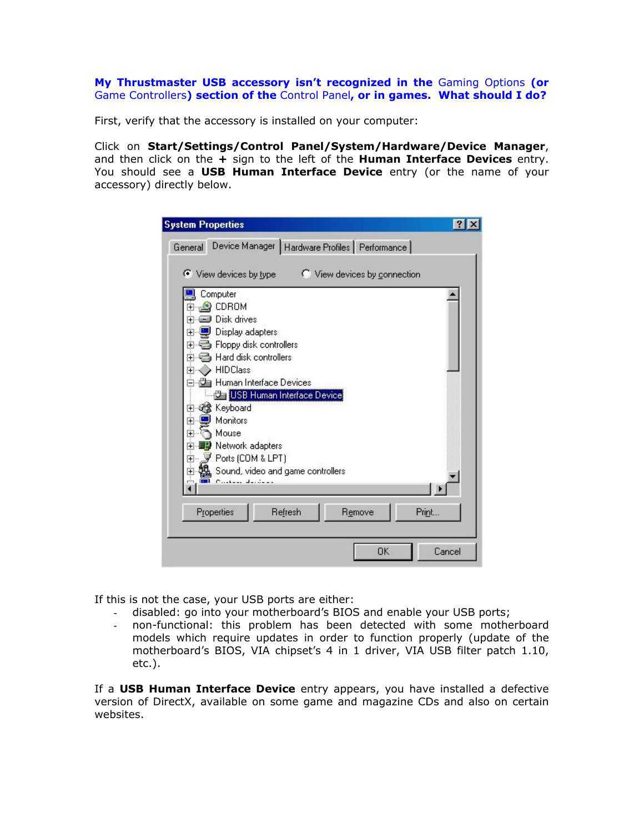**My Thrustmaster USB accessory isn't recognized in the** Gaming Options **(or**  Game Controllers**) section of the** Control Panel**, or in games. What should I do?** 

First, verify that the accessory is installed on your computer:

Click on **Start/Settings/Control Panel/System/Hardware/Device Manager**, and then click on the **+** sign to the left of the **Human Interface Devices** entry. You should see a **USB Human Interface Device** entry (or the name of your accessory) directly below.

| <b>System Properties</b>                                                                                                                                                                                                                                                                                                                                                                                                                                                                                                                                          |
|-------------------------------------------------------------------------------------------------------------------------------------------------------------------------------------------------------------------------------------------------------------------------------------------------------------------------------------------------------------------------------------------------------------------------------------------------------------------------------------------------------------------------------------------------------------------|
| Device Manager   Hardware Profiles   Performance<br>General                                                                                                                                                                                                                                                                                                                                                                                                                                                                                                       |
| ← View devices by type<br>C View devices by connection                                                                                                                                                                                                                                                                                                                                                                                                                                                                                                            |
| Computer<br>$\bullet$ CDROM<br>$\overline{+}$<br>Disk drives<br>$\overline{+}$<br>Display adapters<br>$\overline{+}$<br>Floppy disk controllers<br>$\overline{+}$<br>Hard disk controllers<br>$\overline{+}$<br><b>HIDClass</b><br>$\overline{+}$<br>Human Interface Devices<br><b>Da USB Human Interface Device</b><br>Keyboard<br>$\overline{+}$<br>Monitors<br>$\overline{+}$<br>Mouse<br>$\overline{+}$<br>Network adapters<br>$\overline{+}$<br>Ports (COM & LPT)<br>$\overline{+}$<br>Sound, video and game controllers<br>$\overline{+}$<br>Contra Jacques |
| Properties<br>Refresh<br>Remove<br>Print                                                                                                                                                                                                                                                                                                                                                                                                                                                                                                                          |
| <b>OK</b><br>Cancel                                                                                                                                                                                                                                                                                                                                                                                                                                                                                                                                               |

If this is not the case, your USB ports are either:

- disabled: go into your motherboard's BIOS and enable your USB ports;
- non-functional: this problem has been detected with some motherboard models which require updates in order to function properly (update of the motherboard's BIOS, VIA chipset's 4 in 1 driver, VIA USB filter patch 1.10, etc.).

If a **USB Human Interface Device** entry appears, you have installed a defective version of DirectX, available on some game and magazine CDs and also on certain websites.